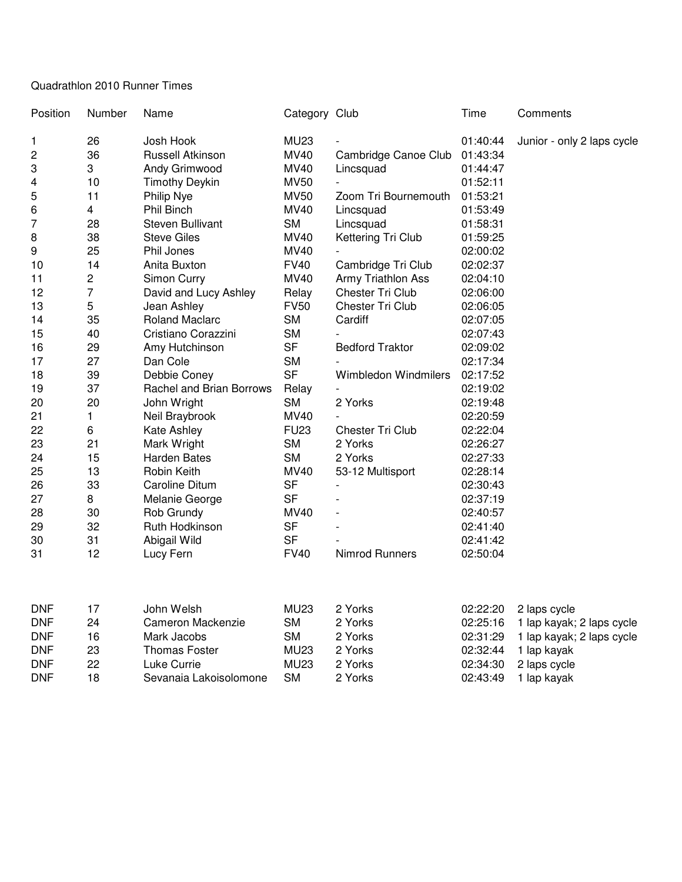## Quadrathlon 2010 Runner Times

| Position | Number         | Name                     | Category Club |                             | Time     | Comments                   |  |
|----------|----------------|--------------------------|---------------|-----------------------------|----------|----------------------------|--|
| 1        | 26             | Josh Hook                | <b>MU23</b>   |                             | 01:40:44 | Junior - only 2 laps cycle |  |
| 2        | 36             | <b>Russell Atkinson</b>  | <b>MV40</b>   | Cambridge Canoe Club        | 01:43:34 |                            |  |
| 3        | 3              | Andy Grimwood            | <b>MV40</b>   | Lincsquad                   | 01:44:47 |                            |  |
| 4        | 10             | <b>Timothy Deykin</b>    | <b>MV50</b>   |                             | 01:52:11 |                            |  |
| 5        | 11             | Philip Nye               | <b>MV50</b>   | Zoom Tri Bournemouth        | 01:53:21 |                            |  |
| 6        | 4              | Phil Binch               | <b>MV40</b>   | Lincsquad                   | 01:53:49 |                            |  |
| 7        | 28             | <b>Steven Bullivant</b>  | <b>SM</b>     | Lincsquad                   | 01:58:31 |                            |  |
| 8        | 38             | <b>Steve Giles</b>       | <b>MV40</b>   | Kettering Tri Club          | 01:59:25 |                            |  |
| 9        | 25             | Phil Jones               | <b>MV40</b>   |                             | 02:00:02 |                            |  |
| 10       | 14             | Anita Buxton             | <b>FV40</b>   | Cambridge Tri Club          | 02:02:37 |                            |  |
| 11       | $\overline{c}$ | Simon Curry              | <b>MV40</b>   | Army Triathlon Ass          | 02:04:10 |                            |  |
| 12       | $\overline{7}$ | David and Lucy Ashley    | Relay         | Chester Tri Club            | 02:06:00 |                            |  |
| 13       | 5              | Jean Ashley              | <b>FV50</b>   | Chester Tri Club            | 02:06:05 |                            |  |
| 14       | 35             | <b>Roland Maclarc</b>    | <b>SM</b>     | Cardiff                     | 02:07:05 |                            |  |
| 15       | 40             | Cristiano Corazzini      | <b>SM</b>     |                             | 02:07:43 |                            |  |
| 16       | 29             | Amy Hutchinson           | <b>SF</b>     | <b>Bedford Traktor</b>      | 02:09:02 |                            |  |
| 17       | 27             | Dan Cole                 | <b>SM</b>     |                             | 02:17:34 |                            |  |
| 18       | 39             | Debbie Coney             | <b>SF</b>     | <b>Wimbledon Windmilers</b> | 02:17:52 |                            |  |
| 19       | 37             | Rachel and Brian Borrows | Relay         |                             | 02:19:02 |                            |  |
| 20       | 20             | John Wright              | <b>SM</b>     | 2 Yorks                     | 02:19:48 |                            |  |
| 21       | 1              | Neil Braybrook           | MV40          |                             | 02:20:59 |                            |  |
| 22       | 6              | Kate Ashley              | <b>FU23</b>   | Chester Tri Club            | 02:22:04 |                            |  |
| 23       | 21             | Mark Wright              | <b>SM</b>     | 2 Yorks                     | 02:26:27 |                            |  |
| 24       | 15             | <b>Harden Bates</b>      | <b>SM</b>     | 2 Yorks                     | 02:27:33 |                            |  |
| 25       | 13             | Robin Keith              | <b>MV40</b>   | 53-12 Multisport            | 02:28:14 |                            |  |
| 26       | 33             | Caroline Ditum           | <b>SF</b>     |                             | 02:30:43 |                            |  |
| 27       | 8              | Melanie George           | <b>SF</b>     |                             | 02:37:19 |                            |  |
| 28       | 30             | Rob Grundy               | <b>MV40</b>   |                             | 02:40:57 |                            |  |
| 29       | 32             | Ruth Hodkinson           | <b>SF</b>     |                             | 02:41:40 |                            |  |
| 30       | 31             | Abigail Wild             | <b>SF</b>     |                             | 02:41:42 |                            |  |
| 31       | 12             | Lucy Fern                | <b>FV40</b>   | Nimrod Runners              | 02:50:04 |                            |  |

| <b>DNF</b> |    | John Welsh             | <b>MU23</b> | 2 Yorks | 02:22:20 | 2 laps cycle              |
|------------|----|------------------------|-------------|---------|----------|---------------------------|
| <b>DNF</b> | 24 | Cameron Mackenzie      | SМ          | 2 Yorks | 02:25:16 | 1 lap kayak; 2 laps cycle |
| <b>DNF</b> | 16 | Mark Jacobs            | SМ          | 2 Yorks | 02:31:29 | 1 lap kayak; 2 laps cycle |
| <b>DNF</b> | 23 | <b>Thomas Foster</b>   | <b>MU23</b> | 2 Yorks | 02:32:44 | lap kavak                 |
| <b>DNF</b> | 22 | Luke Currie l          | <b>MU23</b> | 2 Yorks | 02:34:30 | 2 laps cycle              |
| <b>DNF</b> | 18 | Sevanaia Lakoisolomone | <b>SM</b>   | 2 Yorks | 02:43:49 | lap kayak                 |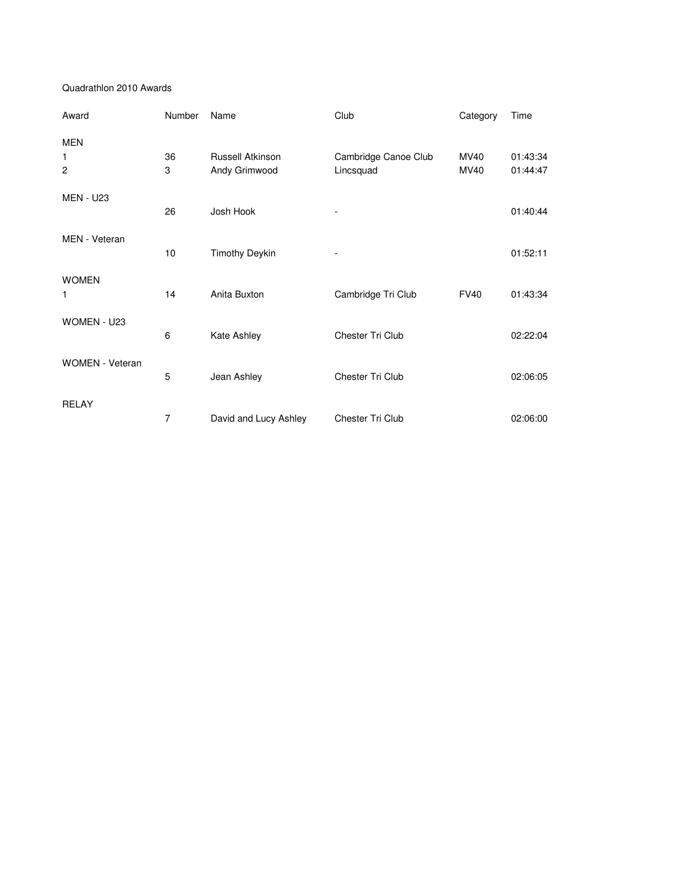## Quadrathlon 2010 Awards

| Award                             | Number  | Name                                     | Club                 | Category     | Time                 |
|-----------------------------------|---------|------------------------------------------|----------------------|--------------|----------------------|
| <b>MEN</b><br>1<br>$\overline{c}$ | 36<br>3 | <b>Russell Atkinson</b><br>Andy Grimwood | Cambridge Canoe Club | MV40<br>MV40 | 01:43:34<br>01:44:47 |
|                                   |         |                                          | Lincsquad            |              |                      |
| <b>MEN - U23</b>                  | 26      | Josh Hook                                | ٠                    |              | 01:40:44             |
| MEN - Veteran                     | 10      | <b>Timothy Deykin</b>                    |                      |              | 01:52:11             |
| <b>WOMEN</b><br>1                 | 14      | Anita Buxton                             | Cambridge Tri Club   | <b>FV40</b>  | 01:43:34             |
| WOMEN - U23                       | 6       | Kate Ashley                              | Chester Tri Club     |              | 02:22:04             |
| <b>WOMEN</b> - Veteran            | 5       | Jean Ashley                              | Chester Tri Club     |              | 02:06:05             |
| <b>RELAY</b>                      | 7       | David and Lucy Ashley                    | Chester Tri Club     |              | 02:06:00             |